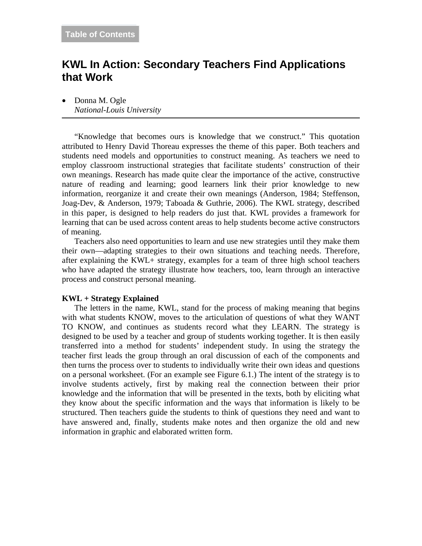# **KWL In Action: Secondary Teachers Find Applications that Work**

• Donna M. Ogle *National-Louis University*

"Knowledge that becomes ours is knowledge that we construct." This quotation attributed to Henry David Thoreau expresses the theme of this paper. Both teachers and students need models and opportunities to construct meaning. As teachers we need to employ classroom instructional strategies that facilitate students' construction of their own meanings. Research has made quite clear the importance of the active, constructive nature of reading and learning; good learners link their prior knowledge to new information, reorganize it and create their own meanings (Anderson, 1984; Steffenson, Joag-Dev, & Anderson, 1979; Taboada & Guthrie, 2006). The KWL strategy, described in this paper, is designed to help readers do just that. KWL provides a framework for learning that can be used across content areas to help students become active constructors of meaning.

Teachers also need opportunities to learn and use new strategies until they make them their own—adapting strategies to their own situations and teaching needs. Therefore, after explaining the KWL+ strategy, examples for a team of three high school teachers who have adapted the strategy illustrate how teachers, too, learn through an interactive process and construct personal meaning.

#### **KWL + Strategy Explained**

The letters in the name, KWL, stand for the process of making meaning that begins with what students KNOW, moves to the articulation of questions of what they WANT TO KNOW, and continues as students record what they LEARN. The strategy is designed to be used by a teacher and group of students working together. It is then easily transferred into a method for students' independent study. In using the strategy the teacher first leads the group through an oral discussion of each of the components and then turns the process over to students to individually write their own ideas and questions on a personal worksheet. (For an example see Figure 6.1.) The intent of the strategy is to involve students actively, first by making real the connection between their prior knowledge and the information that will be presented in the texts, both by eliciting what they know about the specific information and the ways that information is likely to be structured. Then teachers guide the students to think of questions they need and want to have answered and, finally, students make notes and then organize the old and new information in graphic and elaborated written form.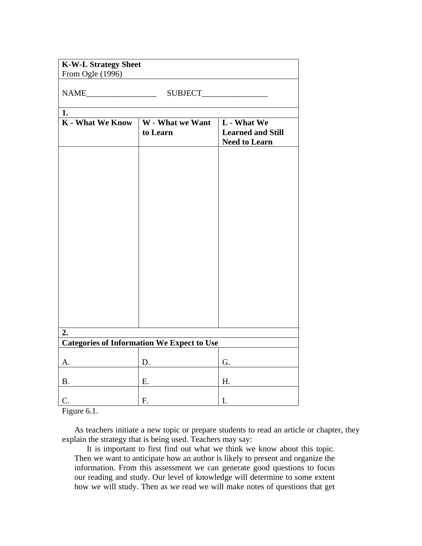| <b>K-W-L Strategy Sheet</b><br>From Ogle (1996)<br>$\begin{tabular}{ c c } \hline \multicolumn{3}{ c }{\text{NAME}} \end{tabular}$ |                                                   |                                                                        |  |  |  |    |
|------------------------------------------------------------------------------------------------------------------------------------|---------------------------------------------------|------------------------------------------------------------------------|--|--|--|----|
|                                                                                                                                    |                                                   |                                                                        |  |  |  | 1. |
| <b>K</b> - What We Know                                                                                                            | W - What we Want<br>to Learn                      | <b>L</b> - What We<br><b>Learned and Still</b><br><b>Need to Learn</b> |  |  |  |    |
|                                                                                                                                    |                                                   |                                                                        |  |  |  |    |
|                                                                                                                                    |                                                   |                                                                        |  |  |  |    |
|                                                                                                                                    |                                                   |                                                                        |  |  |  |    |
|                                                                                                                                    |                                                   |                                                                        |  |  |  |    |
|                                                                                                                                    |                                                   |                                                                        |  |  |  |    |
|                                                                                                                                    |                                                   |                                                                        |  |  |  |    |
|                                                                                                                                    |                                                   |                                                                        |  |  |  |    |
|                                                                                                                                    |                                                   |                                                                        |  |  |  |    |
|                                                                                                                                    |                                                   |                                                                        |  |  |  |    |
| 2.                                                                                                                                 | <b>Categories of Information We Expect to Use</b> |                                                                        |  |  |  |    |
|                                                                                                                                    |                                                   |                                                                        |  |  |  |    |
| A.                                                                                                                                 | D.                                                | G.                                                                     |  |  |  |    |
| <b>B.</b>                                                                                                                          | Ε.                                                | H.                                                                     |  |  |  |    |
| $C$ .                                                                                                                              | F.                                                | I.                                                                     |  |  |  |    |

Figure 6.1.

As teachers initiate a new topic or prepare students to read an article or chapter, they explain the strategy that is being used. Teachers may say:

It is important to first find out what we think we know about this topic. Then we want to anticipate how an author is likely to present and organize the information. From this assessment we can generate good questions to focus our reading and study. Our level of knowledge will determine to some extent how we will study. Then as we read we will make notes of questions that get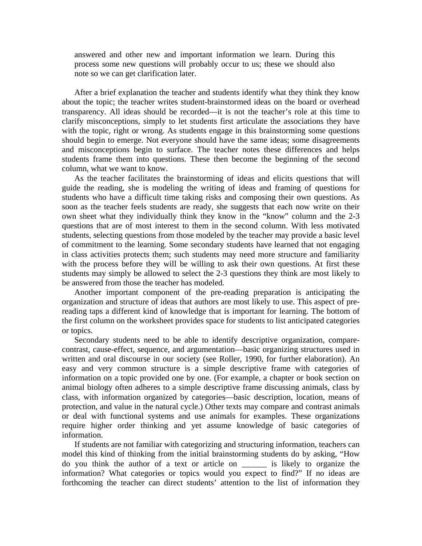answered and other new and important information we learn. During this process some new questions will probably occur to us; these we should also note so we can get clarification later.

After a brief explanation the teacher and students identify what they think they know about the topic; the teacher writes student-brainstormed ideas on the board or overhead transparency. All ideas should be recorded—it is not the teacher's role at this time to clarify misconceptions, simply to let students first articulate the associations they have with the topic, right or wrong. As students engage in this brainstorming some questions should begin to emerge. Not everyone should have the same ideas; some disagreements and misconceptions begin to surface. The teacher notes these differences and helps students frame them into questions. These then become the beginning of the second column, what we want to know.

As the teacher facilitates the brainstorming of ideas and elicits questions that will guide the reading, she is modeling the writing of ideas and framing of questions for students who have a difficult time taking risks and composing their own questions. As soon as the teacher feels students are ready, she suggests that each now write on their own sheet what they individually think they know in the "know" column and the 2-3 questions that are of most interest to them in the second column. With less motivated students, selecting questions from those modeled by the teacher may provide a basic level of commitment to the learning. Some secondary students have learned that not engaging in class activities protects them; such students may need more structure and familiarity with the process before they will be willing to ask their own questions. At first these students may simply be allowed to select the 2-3 questions they think are most likely to be answered from those the teacher has modeled.

Another important component of the pre-reading preparation is anticipating the organization and structure of ideas that authors are most likely to use. This aspect of prereading taps a different kind of knowledge that is important for learning. The bottom of the first column on the worksheet provides space for students to list anticipated categories or topics.

Secondary students need to be able to identify descriptive organization, comparecontrast, cause-effect, sequence, and argumentation—basic organizing structures used in written and oral discourse in our society (see Roller, 1990, for further elaboration). An easy and very common structure is a simple descriptive frame with categories of information on a topic provided one by one. (For example, a chapter or book section on animal biology often adheres to a simple descriptive frame discussing animals, class by class, with information organized by categories—basic description, location, means of protection, and value in the natural cycle.) Other texts may compare and contrast animals or deal with functional systems and use animals for examples. These organizations require higher order thinking and yet assume knowledge of basic categories of information.

If students are not familiar with categorizing and structuring information, teachers can model this kind of thinking from the initial brainstorming students do by asking, "How do you think the author of a text or article on \_\_\_\_\_\_ is likely to organize the information? What categories or topics would you expect to find?" If no ideas are forthcoming the teacher can direct students' attention to the list of information they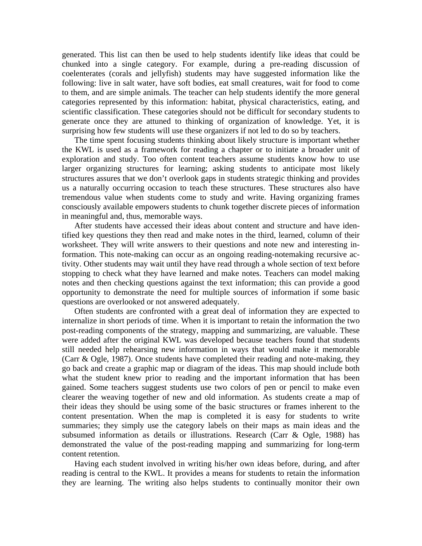generated. This list can then be used to help students identify like ideas that could be chunked into a single category. For example, during a pre-reading discussion of coelenterates (corals and jellyfish) students may have suggested information like the following: live in salt water, have soft bodies, eat small creatures, wait for food to come to them, and are simple animals. The teacher can help students identify the more general categories represented by this information: habitat, physical characteristics, eating, and scientific classification. These categories should not be difficult for secondary students to generate once they are attuned to thinking of organization of knowledge. Yet, it is surprising how few students will use these organizers if not led to do so by teachers.

The time spent focusing students thinking about likely structure is important whether the KWL is used as a framework for reading a chapter or to initiate a broader unit of exploration and study. Too often content teachers assume students know how to use larger organizing structures for learning; asking students to anticipate most likely structures assures that we don't overlook gaps in students strategic thinking and provides us a naturally occurring occasion to teach these structures. These structures also have tremendous value when students come to study and write. Having organizing frames consciously available empowers students to chunk together discrete pieces of information in meaningful and, thus, memorable ways.

After students have accessed their ideas about content and structure and have identified key questions they then read and make notes in the third, learned, column of their worksheet. They will write answers to their questions and note new and interesting information. This note-making can occur as an ongoing reading-notemaking recursive activity. Other students may wait until they have read through a whole section of text before stopping to check what they have learned and make notes. Teachers can model making notes and then checking questions against the text information; this can provide a good opportunity to demonstrate the need for multiple sources of information if some basic questions are overlooked or not answered adequately.

Often students are confronted with a great deal of information they are expected to internalize in short periods of time. When it is important to retain the information the two post-reading components of the strategy, mapping and summarizing, are valuable. These were added after the original KWL was developed because teachers found that students still needed help rehearsing new information in ways that would make it memorable (Carr & Ogle, 1987). Once students have completed their reading and note-making, they go back and create a graphic map or diagram of the ideas. This map should include both what the student knew prior to reading and the important information that has been gained. Some teachers suggest students use two colors of pen or pencil to make even clearer the weaving together of new and old information. As students create a map of their ideas they should be using some of the basic structures or frames inherent to the content presentation. When the map is completed it is easy for students to write summaries; they simply use the category labels on their maps as main ideas and the subsumed information as details or illustrations. Research (Carr & Ogle, 1988) has demonstrated the value of the post-reading mapping and summarizing for long-term content retention.

Having each student involved in writing his/her own ideas before, during, and after reading is central to the KWL. It provides a means for students to retain the information they are learning. The writing also helps students to continually monitor their own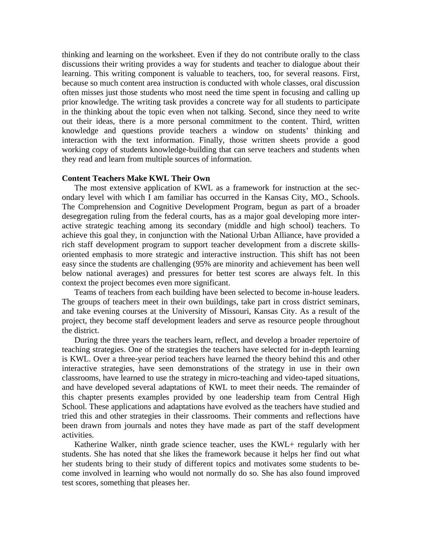thinking and learning on the worksheet. Even if they do not contribute orally to the class discussions their writing provides a way for students and teacher to dialogue about their learning. This writing component is valuable to teachers, too, for several reasons. First, because so much content area instruction is conducted with whole classes, oral discussion often misses just those students who most need the time spent in focusing and calling up prior knowledge. The writing task provides a concrete way for all students to participate in the thinking about the topic even when not talking. Second, since they need to write out their ideas, there is a more personal commitment to the content. Third, written knowledge and questions provide teachers a window on students' thinking and interaction with the text information. Finally, those written sheets provide a good working copy of students knowledge-building that can serve teachers and students when they read and learn from multiple sources of information.

## **Content Teachers Make KWL Their Own**

The most extensive application of KWL as a framework for instruction at the secondary level with which I am familiar has occurred in the Kansas City, MO., Schools. The Comprehension and Cognitive Development Program, begun as part of a broader desegregation ruling from the federal courts, has as a major goal developing more interactive strategic teaching among its secondary (middle and high school) teachers. To achieve this goal they, in conjunction with the National Urban Alliance, have provided a rich staff development program to support teacher development from a discrete skillsoriented emphasis to more strategic and interactive instruction. This shift has not been easy since the students are challenging (95% are minority and achievement has been well below national averages) and pressures for better test scores are always felt. In this context the project becomes even more significant.

Teams of teachers from each building have been selected to become in-house leaders. The groups of teachers meet in their own buildings, take part in cross district seminars, and take evening courses at the University of Missouri, Kansas City. As a result of the project, they become staff development leaders and serve as resource people throughout the district.

During the three years the teachers learn, reflect, and develop a broader repertoire of teaching strategies. One of the strategies the teachers have selected for in-depth learning is KWL. Over a three-year period teachers have learned the theory behind this and other interactive strategies, have seen demonstrations of the strategy in use in their own classrooms, have learned to use the strategy in micro-teaching and video-taped situations, and have developed several adaptations of KWL to meet their needs. The remainder of this chapter presents examples provided by one leadership team from Central High School. These applications and adaptations have evolved as the teachers have studied and tried this and other strategies in their classrooms. Their comments and reflections have been drawn from journals and notes they have made as part of the staff development activities.

Katherine Walker, ninth grade science teacher, uses the KWL+ regularly with her students. She has noted that she likes the framework because it helps her find out what her students bring to their study of different topics and motivates some students to become involved in learning who would not normally do so. She has also found improved test scores, something that pleases her.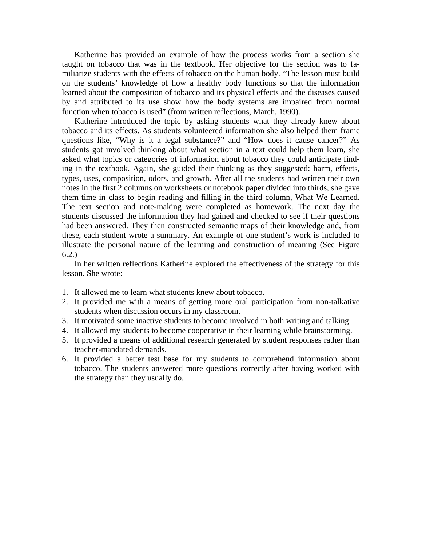Katherine has provided an example of how the process works from a section she taught on tobacco that was in the textbook. Her objective for the section was to familiarize students with the effects of tobacco on the human body. "The lesson must build on the students' knowledge of how a healthy body functions so that the information learned about the composition of tobacco and its physical effects and the diseases caused by and attributed to its use show how the body systems are impaired from normal function when tobacco is used" (from written reflections, March, 1990).

Katherine introduced the topic by asking students what they already knew about tobacco and its effects. As students volunteered information she also helped them frame questions like, "Why is it a legal substance?" and "How does it cause cancer?" As students got involved thinking about what section in a text could help them learn, she asked what topics or categories of information about tobacco they could anticipate finding in the textbook. Again, she guided their thinking as they suggested: harm, effects, types, uses, composition, odors, and growth. After all the students had written their own notes in the first 2 columns on worksheets or notebook paper divided into thirds, she gave them time in class to begin reading and filling in the third column, What We Learned. The text section and note-making were completed as homework. The next day the students discussed the information they had gained and checked to see if their questions had been answered. They then constructed semantic maps of their knowledge and, from these, each student wrote a summary. An example of one student's work is included to illustrate the personal nature of the learning and construction of meaning (See Figure 6.2.)

In her written reflections Katherine explored the effectiveness of the strategy for this lesson. She wrote:

- 1. It allowed me to learn what students knew about tobacco.
- 2. It provided me with a means of getting more oral participation from non-talkative students when discussion occurs in my classroom.
- 3. It motivated some inactive students to become involved in both writing and talking.
- 4. It allowed my students to become cooperative in their learning while brainstorming.
- 5. It provided a means of additional research generated by student responses rather than teacher-mandated demands.
- 6. It provided a better test base for my students to comprehend information about tobacco. The students answered more questions correctly after having worked with the strategy than they usually do.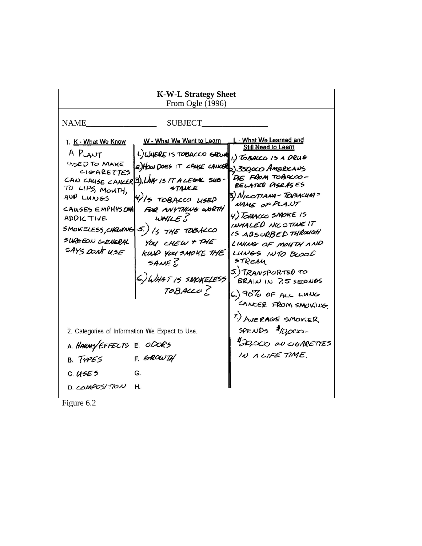| <b>K-W-L Strategy Sheet</b>                                                                                                                                                                                                                                                                                                                                                                                                                                                                                                         |                                                                                                                                                                                                                                                                                                                                                                                                                 |  |  |  |
|-------------------------------------------------------------------------------------------------------------------------------------------------------------------------------------------------------------------------------------------------------------------------------------------------------------------------------------------------------------------------------------------------------------------------------------------------------------------------------------------------------------------------------------|-----------------------------------------------------------------------------------------------------------------------------------------------------------------------------------------------------------------------------------------------------------------------------------------------------------------------------------------------------------------------------------------------------------------|--|--|--|
| From Ogle $(1996)$                                                                                                                                                                                                                                                                                                                                                                                                                                                                                                                  |                                                                                                                                                                                                                                                                                                                                                                                                                 |  |  |  |
| <b>NAME</b><br><b>SUBJECT</b>                                                                                                                                                                                                                                                                                                                                                                                                                                                                                                       |                                                                                                                                                                                                                                                                                                                                                                                                                 |  |  |  |
| W - What We Want to Learn<br>1. K - What We Know<br>A PLANT<br>1.) WHERE IS TOBACCO GROWL<br>USED TO MAKE<br>2) How DOES IT CAUSE CANCER 350,000 AMERICANS<br>CIGARETTES<br>CAN CAUSE CANCER 3), LIKY IS IT A LEGAL SUB-<br>STAULE<br>TO LIPS, MOUTH,<br>AND LUNGS<br>4) 15 TOBACCO USED<br>FOR ANYTHING WORTH<br>CAUSES EMPHYSENA<br>WHILES<br>ADDICTIVE<br>SMOKELESS, CHEUING<br>$5.)$ /s THE TOBALCO<br>SURGEON GENERAL<br>YOU CHEW + THE<br>SAYS DONT USE<br>KIND YOU SMOKE THE<br>SAME &<br>6.) WHAT IS SMOKELESS<br>TOBALLO ? | - What We Learned and<br><b>Still Need to Learn</b><br>1.) TOBACCO IS A DRUG<br>DE FROM TOBACOO-<br>RELATED PISEASES<br>3) NICOTIANA - TOBACUM =<br>NAME OF PLANT<br>4.) TOBACCO SMOKE 15<br>INHALED NICOTINE IT<br>15 ABSORBED THROUGH<br>LINING OF MOUTH AND<br>LUNGS INTO BLOOD<br>STREAM.<br>5.) TRANSPORTED TO<br>BRAIN IN 7.5 SECONDS<br>6.) 90% OF ALL LUNG<br>CANCER FROM SMOVING<br>7.) AVERAGE SMOKER |  |  |  |
| 2. Categories of Information We Expect to Use.<br>A. HARMY EFFECTS E. ODORS<br>F. GROWTH<br>B. TYPES<br>C. USES<br>G.                                                                                                                                                                                                                                                                                                                                                                                                               | SPENDS $\frac{1}{2}00000 -$<br><b>ADO, CCC ON CIGARETTES</b><br>IN A LIFE TIME.                                                                                                                                                                                                                                                                                                                                 |  |  |  |
| D. COMPOSITION<br>н.                                                                                                                                                                                                                                                                                                                                                                                                                                                                                                                |                                                                                                                                                                                                                                                                                                                                                                                                                 |  |  |  |

Figure 6.2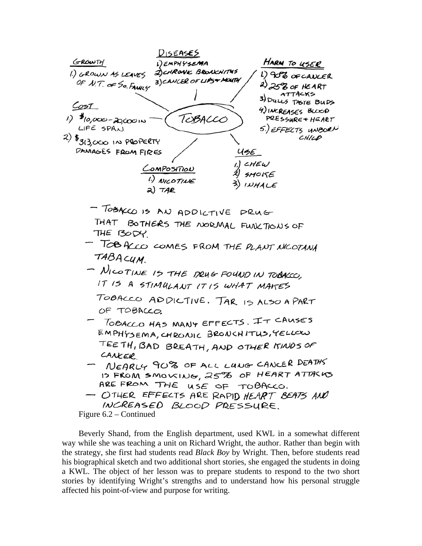

Beverly Shand, from the English department, used KWL in a somewhat different way while she was teaching a unit on Richard Wright, the author. Rather than begin with the strategy, she first had students read *Black Boy* by Wright. Then, before students read his biographical sketch and two additional short stories, she engaged the students in doing a KWL. The object of her lesson was to prepare students to respond to the two short stories by identifying Wright's strengths and to understand how his personal struggle affected his point-of-view and purpose for writing.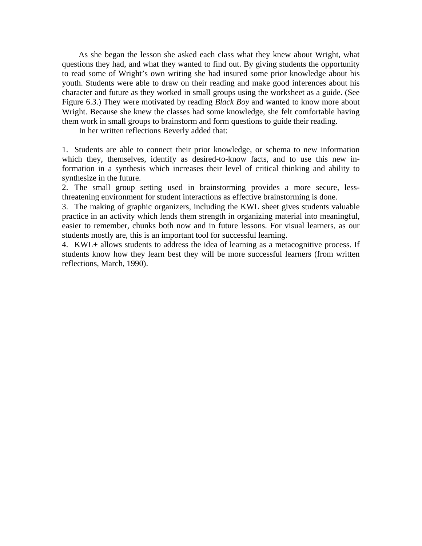As she began the lesson she asked each class what they knew about Wright, what questions they had, and what they wanted to find out. By giving students the opportunity to read some of Wright's own writing she had insured some prior knowledge about his youth. Students were able to draw on their reading and make good inferences about his character and future as they worked in small groups using the worksheet as a guide. (See Figure 6.3.) They were motivated by reading *Black Boy* and wanted to know more about Wright. Because she knew the classes had some knowledge, she felt comfortable having them work in small groups to brainstorm and form questions to guide their reading.

In her written reflections Beverly added that:

1. Students are able to connect their prior knowledge, or schema to new information which they, themselves, identify as desired-to-know facts, and to use this new information in a synthesis which increases their level of critical thinking and ability to synthesize in the future.

2. The small group setting used in brainstorming provides a more secure, lessthreatening environment for student interactions as effective brainstorming is done.

3. The making of graphic organizers, including the KWL sheet gives students valuable practice in an activity which lends them strength in organizing material into meaningful, easier to remember, chunks both now and in future lessons. For visual learners, as our students mostly are, this is an important tool for successful learning.

4. KWL+ allows students to address the idea of learning as a metacognitive process. If students know how they learn best they will be more successful learners (from written reflections, March, 1990).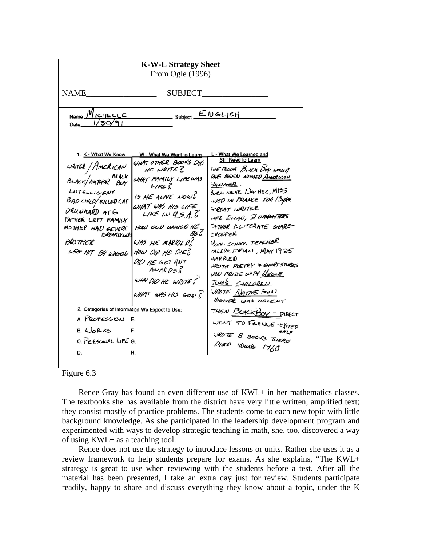| <b>K-W-L Strategy Sheet</b>                                                                                                                                                                                                                                                                                                              |                                                                                                                                                                                                                                                                                                                                           |                                                                                                                                                                                                                                                                                                                                                                                                                                                                                                                                                                                               |  |  |
|------------------------------------------------------------------------------------------------------------------------------------------------------------------------------------------------------------------------------------------------------------------------------------------------------------------------------------------|-------------------------------------------------------------------------------------------------------------------------------------------------------------------------------------------------------------------------------------------------------------------------------------------------------------------------------------------|-----------------------------------------------------------------------------------------------------------------------------------------------------------------------------------------------------------------------------------------------------------------------------------------------------------------------------------------------------------------------------------------------------------------------------------------------------------------------------------------------------------------------------------------------------------------------------------------------|--|--|
| From Ogle (1996)                                                                                                                                                                                                                                                                                                                         |                                                                                                                                                                                                                                                                                                                                           |                                                                                                                                                                                                                                                                                                                                                                                                                                                                                                                                                                                               |  |  |
| <b>NAME</b><br><b>SUBJECT</b>                                                                                                                                                                                                                                                                                                            |                                                                                                                                                                                                                                                                                                                                           |                                                                                                                                                                                                                                                                                                                                                                                                                                                                                                                                                                                               |  |  |
| ENGLISH<br>Name VICHELLE<br>Subject _<br>1/30/91<br>Date_                                                                                                                                                                                                                                                                                |                                                                                                                                                                                                                                                                                                                                           |                                                                                                                                                                                                                                                                                                                                                                                                                                                                                                                                                                                               |  |  |
| 1. K - What We Know<br>WRITER / HMERICAN<br>BLACK/AUTHOR BLACK<br>INTELLIGENT<br><b>BAD CHILD/KILLED LAT</b><br>DRUNKARD ATG<br>FATHER LEFT FAMILY<br>MOTHER HAD SEVERE<br>BREAKROWN<br><b>BROTHER</b><br>LEG HIT BY WOOD<br>2. Categories of Information We Expect to Use:<br>A. PROFESSION<br>$B. 4$ orks<br>C. PERSONAL LIFE G.<br>D. | W - What We Want to Learn<br>WHAT OTHER BOOKS DID<br>HE WRITE?<br>WHAT FAMILY LIFEWAS<br>$L$ / $KE$<br>IS HE ALIVE NOWS<br>WHAT WAS HIS LIFE<br>LIKE IN $4.5.1.5$<br>HOW OLD WOULD HE?<br>BE?<br>WAS HE MARRIED?<br>HOW OID HE DIES<br>DID HE GET ANY<br>AWARDS <sub>o</sub><br>WHY DID HE WRITE?<br>WHAT WAS HIS GOALS<br>E.<br>F.<br>Н. | L - What We Learned and<br><b>Still Need to Learn</b><br>THE BOOK BUCK BOY WOULD<br>LAVE BEEN NAMED AMERICAN<br><i>HUNGER</i> .<br>SORN NEAR NACHEZ, MISS.<br>IVED IN FRANCE FOR BYRS.<br>SREAT WRITER<br>UPE ELLAN, 2 DAY <del>CH</del> TERS<br>FATHER ILLITERATE SHARE-<br>CRODPER<br><b>YOM-SCHOOL TEACHER</b><br><b>IALEDICTORIAN, MAY 1925</b><br><b>VIARRIED</b><br>URUTE PUETRY & SHORT STORIES<br>VON PRIZE WITH YNCLE<br>TOMS CHILDREN<br>WROTE MATIVE SON<br>BIGGER WAS VIOLENT<br>THEN BUKKBOY - PIRECT<br>WENT TO FRANCE EXITED<br>5ELF<br>UROTE 8 BOOKS THERE<br>DIED YOUNG 1960 |  |  |
|                                                                                                                                                                                                                                                                                                                                          |                                                                                                                                                                                                                                                                                                                                           |                                                                                                                                                                                                                                                                                                                                                                                                                                                                                                                                                                                               |  |  |

# Figure 6.3

Renee Gray has found an even different use of KWL+ in her mathematics classes. The textbooks she has available from the district have very little written, amplified text; they consist mostly of practice problems. The students come to each new topic with little background knowledge. As she participated in the leadership development program and experimented with ways to develop strategic teaching in math, she, too, discovered a way of using KWL+ as a teaching tool.

Renee does not use the strategy to introduce lessons or units. Rather she uses it as a review framework to help students prepare for exams. As she explains, "The KWL+ strategy is great to use when reviewing with the students before a test. After all the material has been presented, I take an extra day just for review. Students participate readily, happy to share and discuss everything they know about a topic, under the K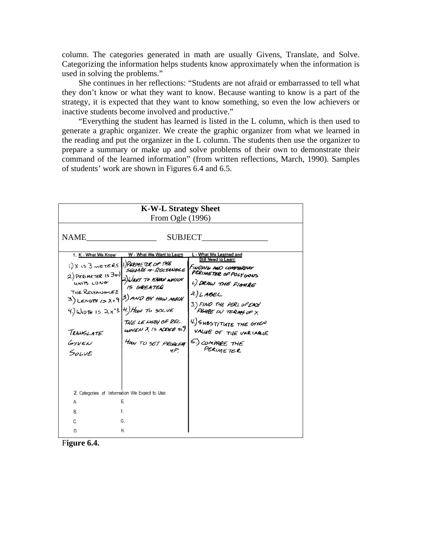column. The categories generated in math are usually Givens, Translate, and Solve. Categorizing the information helps students know approximately when the information is used in solving the problems."

She continues in her reflections: "Students are not afraid or embarrassed to tell what they don't know or what they want to know. Because wanting to know is a part of the strategy, it is expected that they want to know something, so even the low achievers or inactive students become involved and productive."

"Everything the student has learned is listed in the L column, which is then used to generate a graphic organizer. We create the graphic organizer from what we learned in the reading and put the organizer in the L column. The students then use the organizer to prepare a summary or make up and solve problems of their own to demonstrate their command of the learned information" (from written reflections, March, 1990). Samples of students' work are shown in Figures 6.4 and 6.5.

| <b>K-W-L Strategy Sheet</b>                                                                                                                                                 |                                                                                                                                                                                                                                                                 |                                                                                                                                                                                                                                                                              |  |  |
|-----------------------------------------------------------------------------------------------------------------------------------------------------------------------------|-----------------------------------------------------------------------------------------------------------------------------------------------------------------------------------------------------------------------------------------------------------------|------------------------------------------------------------------------------------------------------------------------------------------------------------------------------------------------------------------------------------------------------------------------------|--|--|
| From Ogle $(1996)$                                                                                                                                                          |                                                                                                                                                                                                                                                                 |                                                                                                                                                                                                                                                                              |  |  |
| <b>NAME</b><br>1. K - What We Know<br>1.) X IS 3 METERS 1.) PERIMETER OF THE<br>2.) PERIMETER IS 3x-1<br>UNITS LONG<br><b>THE RECTANGLES</b><br>TRANSLATE<br>GIVEN<br>SOLVE | SUBJECT<br>W - What We Want to Learn<br>SQUARE & RECTANGLE<br>2) WANT TO KARN WHICH<br>IS GREATER<br>3.) LENGTH 13 $X+9$ 3.) AND BY HOW MUCH<br>4.) WIDTH IS $2x^{-3}$ 4.) How To sock<br>THE LENGTH OF REC.<br>WHEN X IS ADDED TOT<br>HOW TO SET PROBLEM<br>чP | What We Learned and<br>Still Need to Learn<br>FINDING AND COMPARING<br>PERIMETER OF POLYGONS<br>1.) DRAW THE FIGHRE<br>$7)$ LABEL<br>3.) FIND THE PERI. OF EACH<br>FIGHTE IN TERMS OF X<br>4.) SUBSTITUTE THE GIVEN<br>VALUE OF THE VARIABLE<br>S.) COMPARE THE<br>PERIMETER |  |  |
| 2. Categories of Information We Expect to Use:                                                                                                                              |                                                                                                                                                                                                                                                                 |                                                                                                                                                                                                                                                                              |  |  |
| А.                                                                                                                                                                          | E.                                                                                                                                                                                                                                                              |                                                                                                                                                                                                                                                                              |  |  |
| В.                                                                                                                                                                          | F.                                                                                                                                                                                                                                                              |                                                                                                                                                                                                                                                                              |  |  |
| C.                                                                                                                                                                          | G.                                                                                                                                                                                                                                                              |                                                                                                                                                                                                                                                                              |  |  |
| D.                                                                                                                                                                          | Η.                                                                                                                                                                                                                                                              |                                                                                                                                                                                                                                                                              |  |  |

F**igure 6.4.**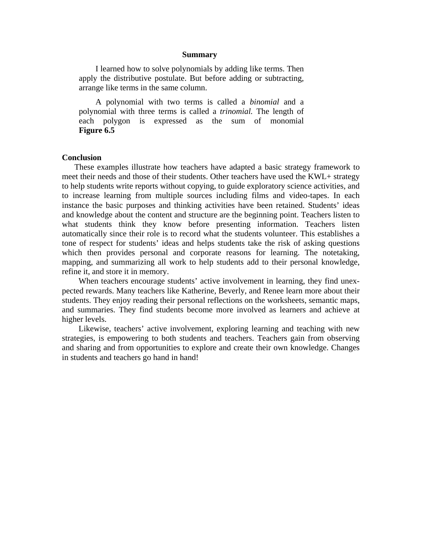#### **Summary**

I learned how to solve polynomials by adding like terms. Then apply the distributive postulate. But before adding or subtracting, arrange like terms in the same column.

A polynomial with two terms is called a *binomial* and a polynomial with three terms is called a *trinomial.* The length of each polygon is expressed as the sum of monomial **Figure 6.5** 

#### **Conclusion**

These examples illustrate how teachers have adapted a basic strategy framework to meet their needs and those of their students. Other teachers have used the KWL+ strategy to help students write reports without copying, to guide exploratory science activities, and to increase learning from multiple sources including films and video-tapes. In each instance the basic purposes and thinking activities have been retained. Students' ideas and knowledge about the content and structure are the beginning point. Teachers listen to what students think they know before presenting information. Teachers listen automatically since their role is to record what the students volunteer. This establishes a tone of respect for students' ideas and helps students take the risk of asking questions which then provides personal and corporate reasons for learning. The notetaking, mapping, and summarizing all work to help students add to their personal knowledge, refine it, and store it in memory.

When teachers encourage students' active involvement in learning, they find unexpected rewards. Many teachers like Katherine, Beverly, and Renee learn more about their students. They enjoy reading their personal reflections on the worksheets, semantic maps, and summaries. They find students become more involved as learners and achieve at higher levels.

Likewise, teachers' active involvement, exploring learning and teaching with new strategies, is empowering to both students and teachers. Teachers gain from observing and sharing and from opportunities to explore and create their own knowledge. Changes in students and teachers go hand in hand!